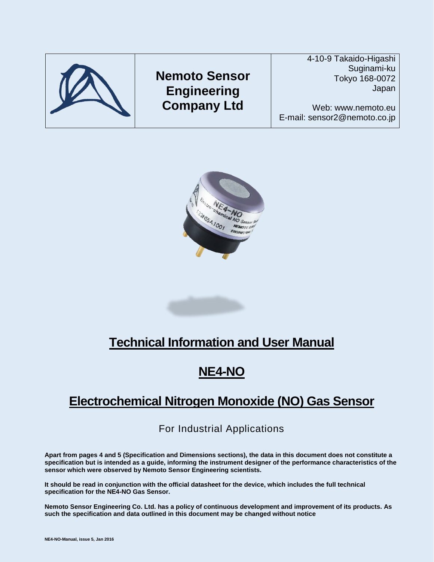



# **Technical Information and User Manual**

## **NE4-NO**

## **Electrochemical Nitrogen Monoxide (NO) Gas Sensor**

## For Industrial Applications

**Apart from pages 4 and 5 (Specification and Dimensions sections), the data in this document does not constitute a specification but is intended as a guide, informing the instrument designer of the performance characteristics of the sensor which were observed by Nemoto Sensor Engineering scientists.**

**It should be read in conjunction with the official datasheet for the device, which includes the full technical specification for the NE4-NO Gas Sensor.**

**Nemoto Sensor Engineering Co. Ltd. has a policy of continuous development and improvement of its products. As such the specification and data outlined in this document may be changed without notice**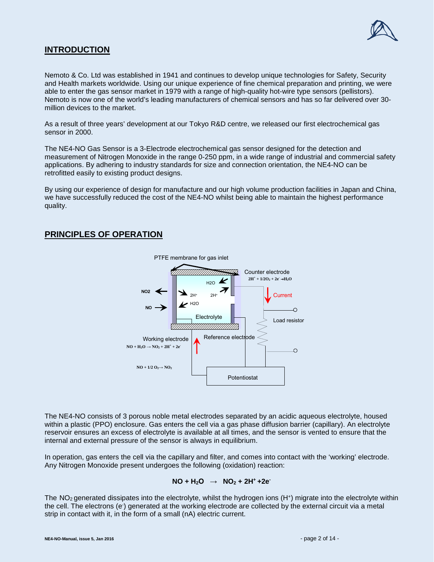

## **INTRODUCTION**

Nemoto & Co. Ltd was established in 1941 and continues to develop unique technologies for Safety, Security and Health markets worldwide. Using our unique experience of fine chemical preparation and printing, we were able to enter the gas sensor market in 1979 with a range of high-quality hot-wire type sensors (pellistors). Nemoto is now one of the world's leading manufacturers of chemical sensors and has so far delivered over 30 million devices to the market.

As a result of three years' development at our Tokyo R&D centre, we released our first electrochemical gas sensor in 2000.

The NE4-NO Gas Sensor is a 3-Electrode electrochemical gas sensor designed for the detection and measurement of Nitrogen Monoxide in the range 0-250 ppm, in a wide range of industrial and commercial safety applications. By adhering to industry standards for size and connection orientation, the NE4-NO can be retrofitted easily to existing product designs.

By using our experience of design for manufacture and our high volume production facilities in Japan and China, we have successfully reduced the cost of the NE4-NO whilst being able to maintain the highest performance quality.

## **PRINCIPLES OF OPERATION**



The NE4-NO consists of 3 porous noble metal electrodes separated by an acidic aqueous electrolyte, housed within a plastic (PPO) enclosure. Gas enters the cell via a gas phase diffusion barrier (capillary). An electrolyte reservoir ensures an excess of electrolyte is available at all times, and the sensor is vented to ensure that the internal and external pressure of the sensor is always in equilibrium.

In operation, gas enters the cell via the capillary and filter, and comes into contact with the 'working' electrode. Any Nitrogen Monoxide present undergoes the following (oxidation) reaction:

#### $NO + H<sub>2</sub>O \rightarrow NO<sub>2</sub> + 2H<sup>+</sup> + 2e<sup>-</sup>$

The NO<sub>2</sub> generated dissipates into the electrolyte, whilst the hydrogen ions (H<sup>+</sup>) migrate into the electrolyte within the cell. The electrons (e·) generated at the working electrode are collected by the external circuit via a metal strip in contact with it, in the form of a small (nA) electric current.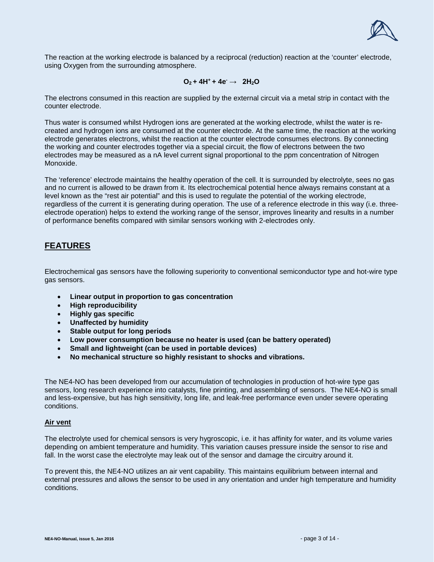

The reaction at the working electrode is balanced by a reciprocal (reduction) reaction at the 'counter' electrode, using Oxygen from the surrounding atmosphere.

#### $Q_2 + 4H^+ + 4e^- \rightarrow 2H_2O$

The electrons consumed in this reaction are supplied by the external circuit via a metal strip in contact with the counter electrode.

Thus water is consumed whilst Hydrogen ions are generated at the working electrode, whilst the water is recreated and hydrogen ions are consumed at the counter electrode. At the same time, the reaction at the working electrode generates electrons, whilst the reaction at the counter electrode consumes electrons. By connecting the working and counter electrodes together via a special circuit, the flow of electrons between the two electrodes may be measured as a nA level current signal proportional to the ppm concentration of Nitrogen Monoxide.

The 'reference' electrode maintains the healthy operation of the cell. It is surrounded by electrolyte, sees no gas and no current is allowed to be drawn from it. Its electrochemical potential hence always remains constant at a level known as the "rest air potential" and this is used to regulate the potential of the working electrode, regardless of the current it is generating during operation. The use of a reference electrode in this way (i.e. threeelectrode operation) helps to extend the working range of the sensor, improves linearity and results in a number of performance benefits compared with similar sensors working with 2-electrodes only.

## **FEATURES**

Electrochemical gas sensors have the following superiority to conventional semiconductor type and hot-wire type gas sensors.

- **Linear output in proportion to gas concentration**
- **High reproducibility**
- **Highly gas specific**
- **Unaffected by humidity**
- **Stable output for long periods**
- **Low power consumption because no heater is used (can be battery operated)**
- **Small and lightweight (can be used in portable devices)**
- **No mechanical structure so highly resistant to shocks and vibrations.**

The NE4-NO has been developed from our accumulation of technologies in production of hot-wire type gas sensors, long research experience into catalysts, fine printing, and assembling of sensors. The NE4-NO is small and less-expensive, but has high sensitivity, long life, and leak-free performance even under severe operating conditions.

#### **Air vent**

The electrolyte used for chemical sensors is very hygroscopic, i.e. it has affinity for water, and its volume varies depending on ambient temperature and humidity. This variation causes pressure inside the sensor to rise and fall. In the worst case the electrolyte may leak out of the sensor and damage the circuitry around it.

To prevent this, the NE4-NO utilizes an air vent capability. This maintains equilibrium between internal and external pressures and allows the sensor to be used in any orientation and under high temperature and humidity conditions.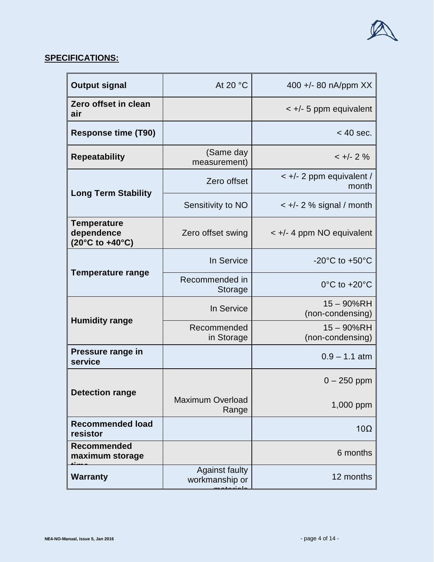

| <b>Output signal</b>                                                         | At 20 °C                                | 400 +/- 80 nA/ppm XX                  |  |
|------------------------------------------------------------------------------|-----------------------------------------|---------------------------------------|--|
| Zero offset in clean<br>air                                                  |                                         | $\lt$ +/- 5 ppm equivalent            |  |
| <b>Response time (T90)</b>                                                   |                                         | $<$ 40 sec.                           |  |
| <b>Repeatability</b>                                                         | (Same day<br>measurement)               | $< +/- 2 \%$                          |  |
| <b>Long Term Stability</b>                                                   | Zero offset                             | $\lt$ +/- 2 ppm equivalent /<br>month |  |
|                                                                              | Sensitivity to NO                       | $\lt$ +/- 2 % signal / month          |  |
| <b>Temperature</b><br>dependence<br>$(20^{\circ}C \text{ to } +40^{\circ}C)$ | Zero offset swing                       | $\lt$ +/- 4 ppm NO equivalent         |  |
|                                                                              | In Service                              | $-20^{\circ}$ C to $+50^{\circ}$ C    |  |
| <b>Temperature range</b>                                                     | Recommended in<br>Storage               | $0^{\circ}$ C to +20 $^{\circ}$ C     |  |
|                                                                              | In Service                              | $15 - 90%$ RH<br>(non-condensing)     |  |
| <b>Humidity range</b>                                                        | Recommended<br>in Storage               | 15 - 90%RH<br>(non-condensing)        |  |
| Pressure range in<br>service                                                 |                                         | $0.9 - 1.1$ atm                       |  |
|                                                                              |                                         | $0 - 250$ ppm                         |  |
| <b>Detection range</b>                                                       | <b>Maximum Overload</b><br>Range        | 1,000 ppm                             |  |
| <b>Recommended load</b><br>resistor                                          |                                         | $10\Omega$                            |  |
| <b>Recommended</b><br>maximum storage                                        |                                         | 6 months                              |  |
| <b>Warranty</b>                                                              | <b>Against faulty</b><br>workmanship or | 12 months                             |  |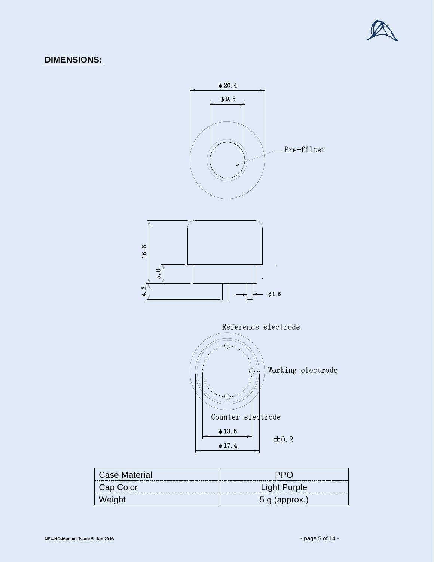

## **DIMENSIONS:**



| <b>Case Material</b> | <b>PPO</b>          |
|----------------------|---------------------|
| Cap Color            | <b>Light Purple</b> |
| Weight               | $5$ g (approx.)     |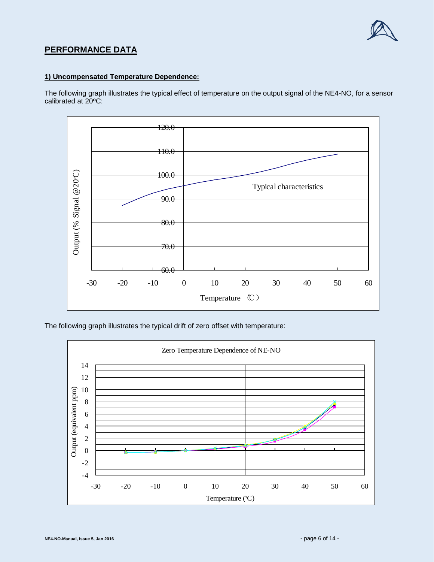

## **PERFORMANCE DATA**

#### **1) Uncompensated Temperature Dependence:**

The following graph illustrates the typical effect of temperature on the output signal of the NE4-NO, for a sensor calibrated at 20**<sup>o</sup>**C:



The following graph illustrates the typical drift of zero offset with temperature:

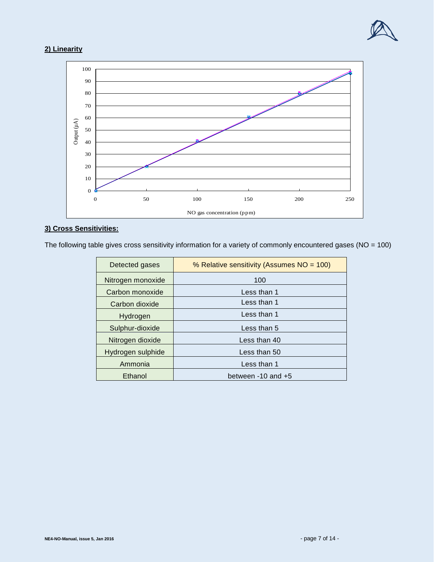

## **2) Linearity**



### **3) Cross Sensitivities:**

The following table gives cross sensitivity information for a variety of commonly encountered gases (NO = 100)

| Detected gases    | % Relative sensitivity (Assumes NO = 100) |  |
|-------------------|-------------------------------------------|--|
| Nitrogen monoxide | 100                                       |  |
| Carbon monoxide   | Less than 1                               |  |
| Carbon dioxide    | Less than 1                               |  |
| Hydrogen          | Less than 1                               |  |
| Sulphur-dioxide   | Less than 5                               |  |
| Nitrogen dioxide  | Less than 40                              |  |
| Hydrogen sulphide | Less than 50                              |  |
| Ammonia           | Less than 1                               |  |
| Ethanol           | between -10 and +5                        |  |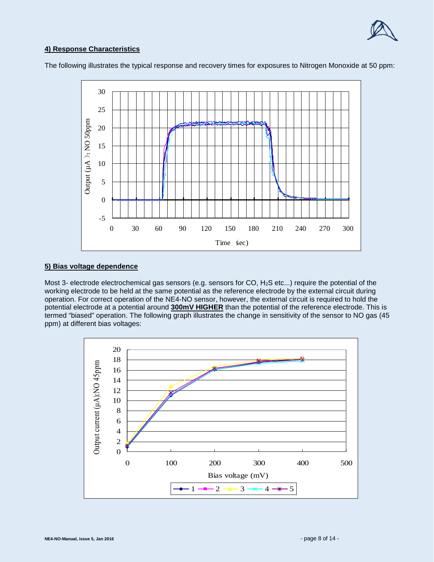

#### **4) Response Characteristics**

The following illustrates the typical response and recovery times for exposures to Nitrogen Monoxide at 50 ppm:



#### **5) Bias voltage dependence**

Most 3- electrode electrochemical gas sensors (e.g. sensors for CO, H2S etc...) require the potential of the working electrode to be held at the same potential as the reference electrode by the external circuit during operation. For correct operation of the NE4-NO sensor, however, the external circuit is required to hold the potential electrode at a potential around **300mV HIGHER** than the potential of the reference electrode. This is termed "biased" operation. The following graph illustrates the change in sensitivity of the sensor to NO gas (45 ppm) at different bias voltages:

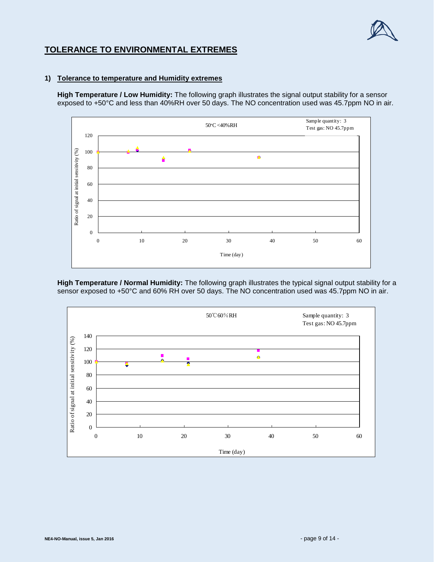

## **TOLERANCE TO ENVIRONMENTAL EXTREMES**

#### **1) Tolerance to temperature and Humidity extremes**

**High Temperature / Low Humidity:** The following graph illustrates the signal output stability for a sensor exposed to +50°C and less than 40%RH over 50 days. The NO concentration used was 45.7ppm NO in air.



**High Temperature / Normal Humidity:** The following graph illustrates the typical signal output stability for a sensor exposed to +50°C and 60% RH over 50 days. The NO concentration used was 45.7ppm NO in air.

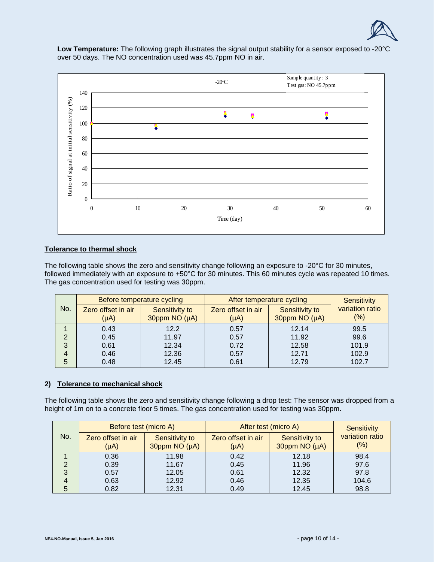

**Low Temperature:** The following graph illustrates the signal output stability for a sensor exposed to -20°C over 50 days. The NO concentration used was 45.7ppm NO in air.



#### **Tolerance to thermal shock**

The following table shows the zero and sensitivity change following an exposure to -20°C for 30 minutes, followed immediately with an exposure to +50°C for 30 minutes. This 60 minutes cycle was repeated 10 times. The gas concentration used for testing was 30ppm.

| No. | Before temperature cycling      |                                 | After temperature cycling       |                                 | <b>Sensitivity</b>        |
|-----|---------------------------------|---------------------------------|---------------------------------|---------------------------------|---------------------------|
|     | Zero offset in air<br>$(\mu A)$ | Sensitivity to<br>30ppm NO (µA) | Zero offset in air<br>$(\mu A)$ | Sensitivity to<br>30ppm NO (µA) | variation ratio<br>$(\%)$ |
|     | 0.43                            | 12.2                            | 0.57                            | 12.14                           | 99.5                      |
| 2   | 0.45                            | 11.97                           | 0.57                            | 11.92                           | 99.6                      |
| 3   | 0.61                            | 12.34                           | 0.72                            | 12.58                           | 101.9                     |
| 4   | 0.46                            | 12.36                           | 0.57                            | 12.71                           | 102.9                     |
| 5   | 0.48                            | 12.45                           | 0.61                            | 12.79                           | 102.7                     |

#### **2) Tolerance to mechanical shock**

The following table shows the zero and sensitivity change following a drop test: The sensor was dropped from a height of 1m on to a concrete floor 5 times. The gas concentration used for testing was 30ppm.

| No. | Before test (micro A)           |                                 | After test (micro A)            |                                 | <b>Sensitivity</b>         |
|-----|---------------------------------|---------------------------------|---------------------------------|---------------------------------|----------------------------|
|     | Zero offset in air<br>$(\mu A)$ | Sensitivity to<br>30ppm NO (µA) | Zero offset in air<br>$(\mu A)$ | Sensitivity to<br>30ppm NO (µA) | variation ratio<br>$(\% )$ |
|     | 0.36                            | 11.98                           | 0.42                            | 12.18                           | 98.4                       |
|     | 0.39                            | 11.67                           | 0.45                            | 11.96                           | 97.6                       |
| 3   | 0.57                            | 12.05                           | 0.61                            | 12.32                           | 97.8                       |
|     | 0.63                            | 12.92                           | 0.46                            | 12.35                           | 104.6                      |
|     | 0.82                            | 12.31                           | 0.49                            | 12.45                           | 98.8                       |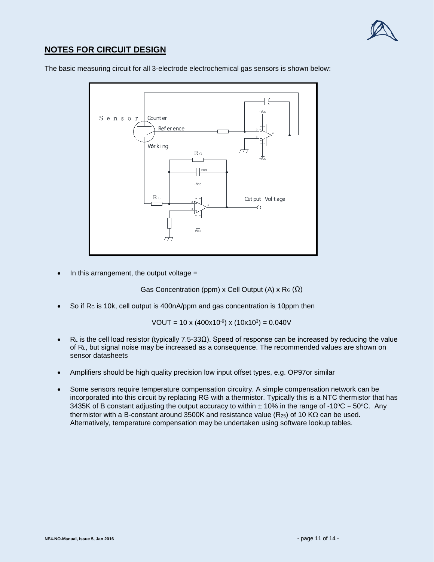

## **NOTES FOR CIRCUIT DESIGN**

The basic measuring circuit for all 3-electrode electrochemical gas sensors is shown below:



In this arrangement, the output voltage  $=$ 

Gas Concentration (ppm) x Cell Output (A) x R $G$  ( $\Omega$ )

So if R<sub>G</sub> is 10k, cell output is 400nA/ppm and gas concentration is 10ppm then

VOUT =  $10 \times (400 \times 10^{-9}) \times (10 \times 10^{3}) = 0.040 V$ 

- RL is the cell load resistor (typically 7.5-33 $\Omega$ ). Speed of response can be increased by reducing the value of RL, but signal noise may be increased as a consequence. The recommended values are shown on sensor datasheets
- Amplifiers should be high quality precision low input offset types, e.g. OP97or similar
- Some sensors require temperature compensation circuitry. A simple compensation network can be incorporated into this circuit by replacing RG with a thermistor. Typically this is a NTC thermistor that has 3435K of B constant adjusting the output accuracy to within  $± 10\%$  in the range of -10 $\degree$ C ~ 50 $\degree$ C. Any thermistor with a B-constant around 3500K and resistance value (R<sub>25</sub>) of 10 KΩ can be used. Alternatively, temperature compensation may be undertaken using software lookup tables.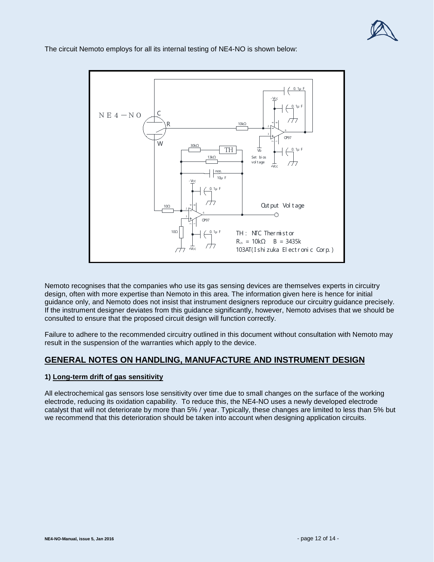

 $0.1\mu$ -Vcc 0. 1μ F  $N E 4-N O$ C 10kΩ R  $\frac{1}{2}$  +  $\frac{1}{2}$  +  $\frac{1}{2}$  +  $\frac{1}{2}$  +  $\frac{1}{2}$  +  $\frac{1}{2}$  +  $\frac{1}{2}$  +  $\frac{1}{2}$  +  $\frac{1}{2}$  +  $\frac{1}{2}$  +  $\frac{1}{2}$  +  $\frac{1}{2}$  +  $\frac{1}{2}$  +  $\frac{1}{2}$  +  $\frac{1}{2}$  +  $\frac{1}{2}$  +  $\frac{1}{2}$  +  $\frac{1}{2}$  +  $\frac{1$ 6 OP97 W 30kΩ TH vb 0. 1μ F Set bi os 13kΩ vol t age+Vcc non. 10μ F -Vcc  $0.1\mu$ Out put Vol t age 10Ω +<br>+<br>+<br>+<br>+  $\cap$ OP97 10Ω 0. 1μ F TH : NTC Ther mi st or  $R_{25} = 10k\Omega$  B = 3435k 103AT( I shi zuka El ect r oni c Cor p. ) +Vcc

The circuit Nemoto employs for all its internal testing of NE4-NO is shown below:

Nemoto recognises that the companies who use its gas sensing devices are themselves experts in circuitry design, often with more expertise than Nemoto in this area. The information given here is hence for initial guidance only, and Nemoto does not insist that instrument designers reproduce our circuitry guidance precisely. If the instrument designer deviates from this guidance significantly, however, Nemoto advises that we should be consulted to ensure that the proposed circuit design will function correctly.

Failure to adhere to the recommended circuitry outlined in this document without consultation with Nemoto may result in the suspension of the warranties which apply to the device.

## **GENERAL NOTES ON HANDLING, MANUFACTURE AND INSTRUMENT DESIGN**

#### **1) Long-term drift of gas sensitivity**

All electrochemical gas sensors lose sensitivity over time due to small changes on the surface of the working electrode, reducing its oxidation capability. To reduce this, the NE4-NO uses a newly developed electrode catalyst that will not deteriorate by more than 5% / year. Typically, these changes are limited to less than 5% but we recommend that this deterioration should be taken into account when designing application circuits.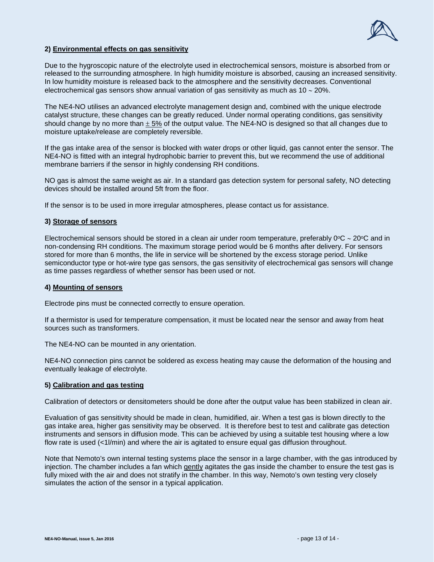

#### **2) Environmental effects on gas sensitivity**

Due to the hygroscopic nature of the electrolyte used in electrochemical sensors, moisture is absorbed from or released to the surrounding atmosphere. In high humidity moisture is absorbed, causing an increased sensitivity. In low humidity moisture is released back to the atmosphere and the sensitivity decreases. Conventional electrochemical gas sensors show annual variation of gas sensitivity as much as 10 ∼ 20%.

The NE4-NO utilises an advanced electrolyte management design and, combined with the unique electrode catalyst structure, these changes can be greatly reduced. Under normal operating conditions, gas sensitivity should change by no more than  $\pm$  5% of the output value. The NE4-NO is designed so that all changes due to moisture uptake/release are completely reversible.

If the gas intake area of the sensor is blocked with water drops or other liquid, gas cannot enter the sensor. The NE4-NO is fitted with an integral hydrophobic barrier to prevent this, but we recommend the use of additional membrane barriers if the sensor in highly condensing RH conditions.

NO gas is almost the same weight as air. In a standard gas detection system for personal safety, NO detecting devices should be installed around 5ft from the floor.

If the sensor is to be used in more irregular atmospheres, please contact us for assistance.

#### **3) Storage of sensors**

Electrochemical sensors should be stored in a clean air under room temperature, preferably 0°C ∼ 20°C and in non-condensing RH conditions. The maximum storage period would be 6 months after delivery. For sensors stored for more than 6 months, the life in service will be shortened by the excess storage period. Unlike semiconductor type or hot-wire type gas sensors, the gas sensitivity of electrochemical gas sensors will change as time passes regardless of whether sensor has been used or not.

#### **4) Mounting of sensors**

Electrode pins must be connected correctly to ensure operation.

If a thermistor is used for temperature compensation, it must be located near the sensor and away from heat sources such as transformers.

The NE4-NO can be mounted in any orientation.

NE4-NO connection pins cannot be soldered as excess heating may cause the deformation of the housing and eventually leakage of electrolyte.

#### **5) Calibration and gas testing**

Calibration of detectors or densitometers should be done after the output value has been stabilized in clean air.

Evaluation of gas sensitivity should be made in clean, humidified, air. When a test gas is blown directly to the gas intake area, higher gas sensitivity may be observed. It is therefore best to test and calibrate gas detection instruments and sensors in diffusion mode. This can be achieved by using a suitable test housing where a low flow rate is used (<1l/min) and where the air is agitated to ensure equal gas diffusion throughout.

Note that Nemoto's own internal testing systems place the sensor in a large chamber, with the gas introduced by injection. The chamber includes a fan which gently agitates the gas inside the chamber to ensure the test gas is fully mixed with the air and does not stratify in the chamber. In this way, Nemoto's own testing very closely simulates the action of the sensor in a typical application.